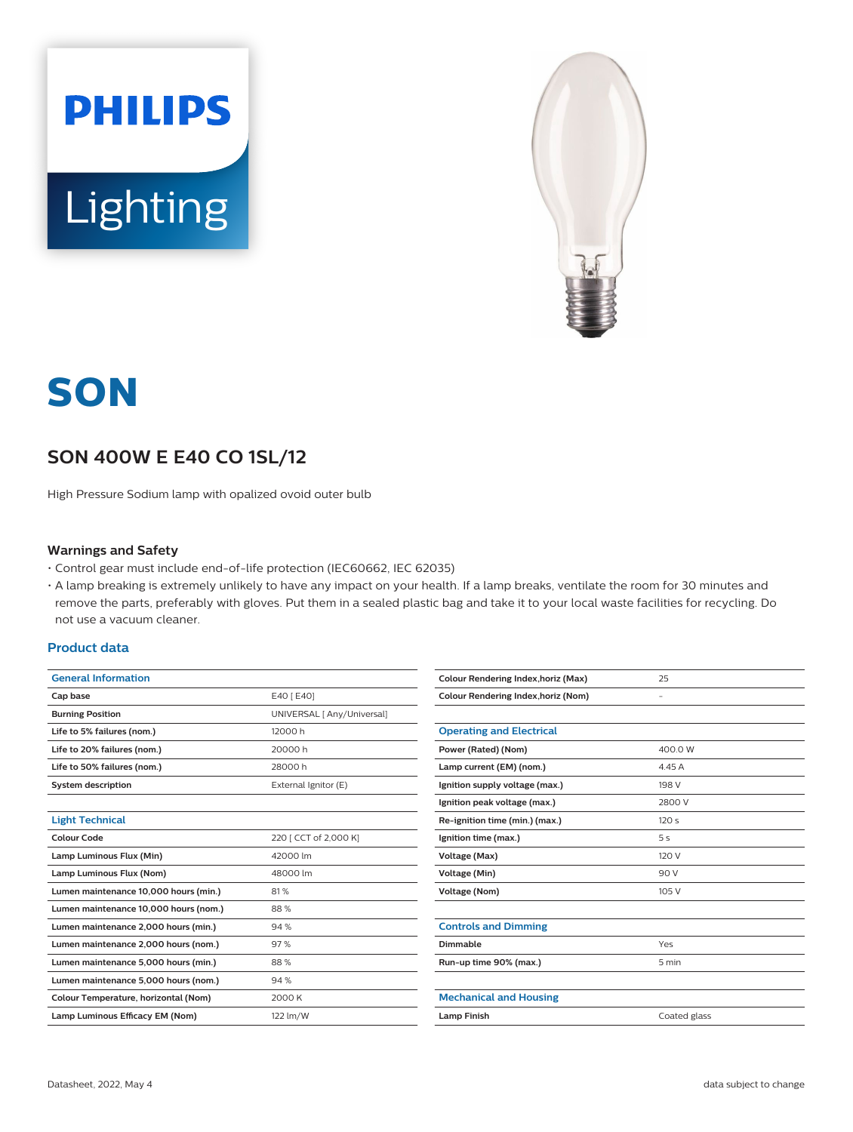



# **SON**

# **SON 400W E E40 CO 1SL/12**

High Pressure Sodium lamp with opalized ovoid outer bulb

#### **Warnings and Safety**

- Control gear must include end-of-life protection (IEC60662, IEC 62035)
- A lamp breaking is extremely unlikely to have any impact on your health. If a lamp breaks, ventilate the room for 30 minutes and remove the parts, preferably with gloves. Put them in a sealed plastic bag and take it to your local waste facilities for recycling. Do not use a vacuum cleaner.

### **Product data**

| <b>General Information</b>            |                            |  |
|---------------------------------------|----------------------------|--|
| Cap base                              | E40 [ E40]                 |  |
| <b>Burning Position</b>               | UNIVERSAL [ Any/Universal] |  |
| Life to 5% failures (nom.)            | 12000 h                    |  |
| Life to 20% failures (nom.)           | 20000 h                    |  |
| Life to 50% failures (nom.)           | 28000 h                    |  |
| <b>System description</b>             | External Ignitor (E)       |  |
|                                       |                            |  |
| <b>Light Technical</b>                |                            |  |
| Colour Code                           | 220 [ CCT of 2,000 K]      |  |
| Lamp Luminous Flux (Min)              | 42000 lm                   |  |
| Lamp Luminous Flux (Nom)              | 48000 lm                   |  |
| Lumen maintenance 10,000 hours (min.) | 81%                        |  |
| Lumen maintenance 10,000 hours (nom.) | 88%                        |  |
| Lumen maintenance 2,000 hours (min.)  | 94%                        |  |
| Lumen maintenance 2,000 hours (nom.)  | 97%                        |  |
| Lumen maintenance 5,000 hours (min.)  | 88%                        |  |
| Lumen maintenance 5,000 hours (nom.)  | 94%                        |  |
| Colour Temperature, horizontal (Nom)  | 2000 K                     |  |
| Lamp Luminous Efficacy EM (Nom)       | 122 lm/W                   |  |

| <b>Colour Rendering Index, horiz (Max)</b> | 25             |  |
|--------------------------------------------|----------------|--|
| <b>Colour Rendering Index, horiz (Nom)</b> | ۰              |  |
|                                            |                |  |
| <b>Operating and Electrical</b>            |                |  |
| Power (Rated) (Nom)                        | 400.0 W        |  |
| Lamp current (EM) (nom.)                   | 4.45 A         |  |
| Ignition supply voltage (max.)             | 198 V          |  |
| Ignition peak voltage (max.)               | 2800 V         |  |
| Re-ignition time (min.) (max.)             | 120s           |  |
| Ignition time (max.)                       | 5 <sub>s</sub> |  |
| Voltage (Max)                              | 120 V          |  |
| Voltage (Min)                              | 90 V           |  |
| <b>Voltage (Nom)</b>                       | 105 V          |  |
|                                            |                |  |
| <b>Controls and Dimming</b>                |                |  |
| Dimmable                                   | Yes            |  |
| Run-up time 90% (max.)                     | 5 min          |  |
|                                            |                |  |
| <b>Mechanical and Housing</b>              |                |  |
| <b>Lamp Finish</b>                         | Coated glass   |  |
|                                            |                |  |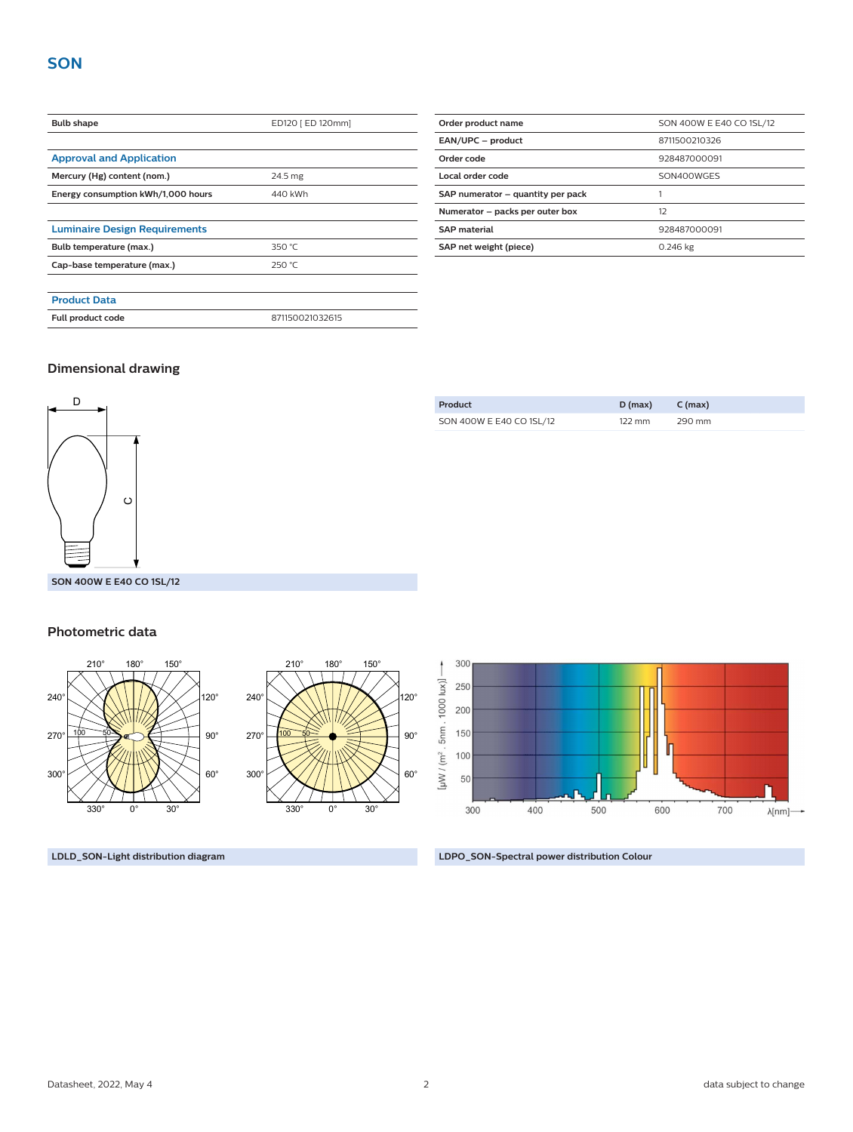| <b>Bulb shape</b>                    | ED120 [ ED 120mm] |  |
|--------------------------------------|-------------------|--|
|                                      |                   |  |
| <b>Approval and Application</b>      |                   |  |
| Mercury (Hg) content (nom.)          | 24.5 mg           |  |
| Energy consumption kWh/1,000 hours   | 440 kWh           |  |
|                                      |                   |  |
| <b>Luminaire Design Requirements</b> |                   |  |
| Bulb temperature (max.)              | 350 $°C$          |  |
| Cap-base temperature (max.)          | 250 °C            |  |
|                                      |                   |  |
| <b>Product Data</b>                  |                   |  |
| Full product code                    | 871150021032615   |  |

| Order product name                | SON 400W E E40 CO 1SL/12 |  |  |
|-----------------------------------|--------------------------|--|--|
| EAN/UPC - product                 | 8711500210326            |  |  |
| Order code                        | 928487000091             |  |  |
| Local order code                  | SON400WGES               |  |  |
| SAP numerator - quantity per pack |                          |  |  |
| Numerator - packs per outer box   | 12                       |  |  |
| <b>SAP</b> material               | 928487000091             |  |  |
| SAP net weight (piece)            | 0.246 kg                 |  |  |

### **Dimensional drawing**



| SON 400W E E40 CO 1SL/12 | $122 \text{ mm}$ | 290 mm |
|--------------------------|------------------|--------|
|                          |                  |        |

**Product D (max) C (max)**

#### **Photometric data**



**LDLD\_SON-Light distribution diagram LDPO\_SON-Spectral power distribution Colour**